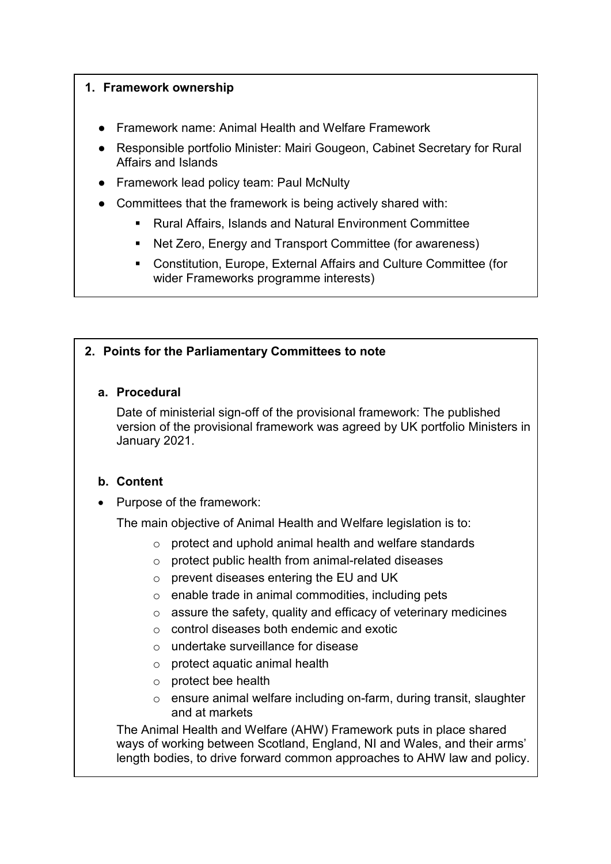## **1. Framework ownership**

- Framework name: Animal Health and Welfare Framework
- Responsible portfolio Minister: Mairi Gougeon, Cabinet Secretary for Rural Affairs and Islands
- Framework lead policy team: Paul McNulty
- Committees that the framework is being actively shared with:
	- Rural Affairs, Islands and Natural Environment Committee
	- Net Zero, Energy and Transport Committee (for awareness)
	- Constitution, Europe, External Affairs and Culture Committee (for wider Frameworks programme interests)

## **2. Points for the Parliamentary Committees to note**

## **a. Procedural**

Date of ministerial sign-off of the provisional framework: The published version of the provisional framework was agreed by UK portfolio Ministers in January 2021.

## **b. Content**

• Purpose of the framework:

The main objective of Animal Health and Welfare legislation is to:

- o protect and uphold animal health and welfare standards
- o protect public health from animal-related diseases
- o prevent diseases entering the EU and UK
- o enable trade in animal commodities, including pets
- o assure the safety, quality and efficacy of veterinary medicines
- o control diseases both endemic and exotic
- o undertake surveillance for disease
- $\circ$  protect aquatic animal health
- o protect bee health
- o ensure animal welfare including on-farm, during transit, slaughter and at markets

The Animal Health and Welfare (AHW) Framework puts in place shared ways of working between Scotland, England, NI and Wales, and their arms' length bodies, to drive forward common approaches to AHW law and policy.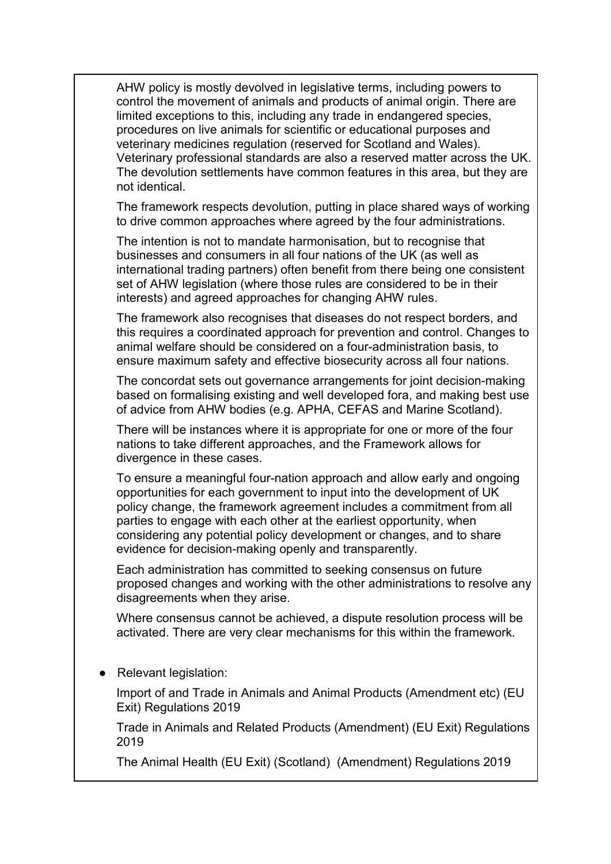AHW policy is mostly devolved in legislative terms, including powers to control the movement of animals and products of animal origin. There are limited exceptions to this, including any trade in endangered species, procedures on live animals for scientific or educational purposes and veterinary medicines regulation (reserved for Scotland and Wales). Veterinary professional standards are also a reserved matter across the UK. The devolution settlements have common features in this area, but they are not identical.

The framework respects devolution, putting in place shared ways of working to drive common approaches where agreed by the four administrations.

The intention is not to mandate harmonisation, but to recognise that businesses and consumers in all four nations of the UK (as well as international trading partners) often benefit from there being one consistent set of AHW legislation (where those rules are considered to be in their interests) and agreed approaches for changing AHW rules.

The framework also recognises that diseases do not respect borders, and this requires a coordinated approach for prevention and control. Changes to animal welfare should be considered on a four-administration basis, to ensure maximum safety and effective biosecurity across all four nations.

The concordat sets out governance arrangements for joint decision-making based on formalising existing and well developed fora, and making best use of advice from AHW bodies (e.g. APHA, CEFAS and Marine Scotland).

There will be instances where it is appropriate for one or more of the four nations to take different approaches, and the Framework allows for divergence in these cases.

To ensure a meaningful four-nation approach and allow early and ongoing opportunities for each government to input into the development of UK policy change, the framework agreement includes a commitment from all parties to engage with each other at the earliest opportunity, when considering any potential policy development or changes, and to share evidence for decision-making openly and transparently.

Each administration has committed to seeking consensus on future proposed changes and working with the other administrations to resolve any disagreements when they arise.

Where consensus cannot be achieved, a dispute resolution process will be activated. There are very clear mechanisms for this within the framework.

**Relevant legislation:** 

Import of and Trade in Animals and Animal Products (Amendment etc) (EU Exit) Regulations 2019

Trade in Animals and Related Products (Amendment) (EU Exit) Regulations 2019

The Animal Health (EU Exit) (Scotland) (Amendment) Regulations 2019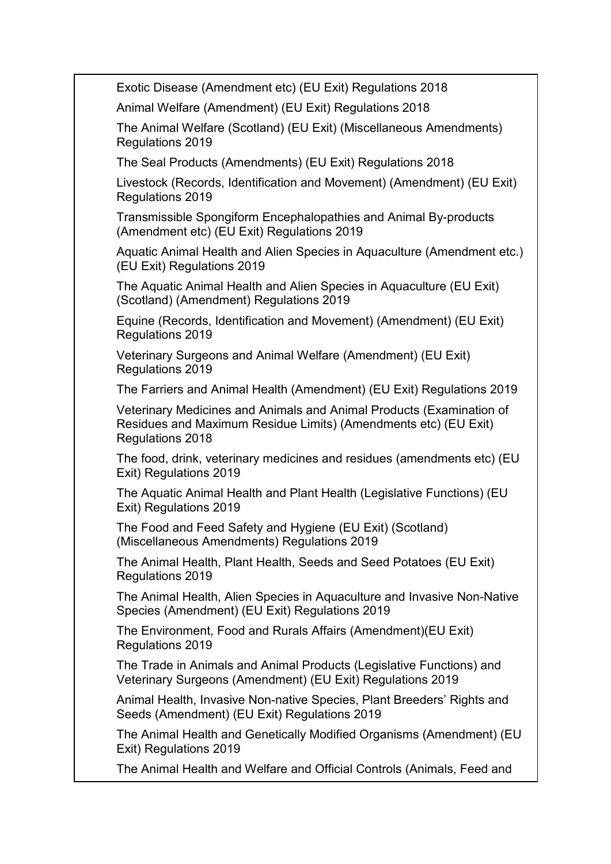Exotic Disease (Amendment etc) (EU Exit) Regulations 2018 Animal Welfare (Amendment) (EU Exit) Regulations 2018 The Animal Welfare (Scotland) (EU Exit) (Miscellaneous Amendments) Regulations 2019 The Seal Products (Amendments) (EU Exit) Regulations 2018 Livestock (Records, Identification and Movement) (Amendment) (EU Exit) Regulations 2019 Transmissible Spongiform Encephalopathies and Animal By-products (Amendment etc) (EU Exit) Regulations 2019 Aquatic Animal Health and Alien Species in Aquaculture (Amendment etc.) (EU Exit) Regulations 2019 The Aquatic Animal Health and Alien Species in Aquaculture (EU Exit) (Scotland) (Amendment) Regulations 2019 Equine (Records, Identification and Movement) (Amendment) (EU Exit) Regulations 2019 Veterinary Surgeons and Animal Welfare (Amendment) (EU Exit) Regulations 2019 The Farriers and Animal Health (Amendment) (EU Exit) Regulations 2019 Veterinary Medicines and Animals and Animal Products (Examination of Residues and Maximum Residue Limits) (Amendments etc) (EU Exit) Regulations 2018 The food, drink, veterinary medicines and residues (amendments etc) (EU Exit) Regulations 2019 The Aquatic Animal Health and Plant Health (Legislative Functions) (EU Exit) Regulations 2019 The Food and Feed Safety and Hygiene (EU Exit) (Scotland) (Miscellaneous Amendments) Regulations 2019 The Animal Health, Plant Health, Seeds and Seed Potatoes (EU Exit) Regulations 2019 The Animal Health, Alien Species in Aquaculture and Invasive Non-Native Species (Amendment) (EU Exit) Regulations 2019 The Environment, Food and Rurals Affairs (Amendment)(EU Exit) Regulations 2019 The Trade in Animals and Animal Products (Legislative Functions) and Veterinary Surgeons (Amendment) (EU Exit) Regulations 2019 Animal Health, Invasive Non-native Species, Plant Breeders' Rights and Seeds (Amendment) (EU Exit) Regulations 2019 The Animal Health and Genetically Modified Organisms (Amendment) (EU Exit) Regulations 2019 The Animal Health and Welfare and Official Controls (Animals, Feed and